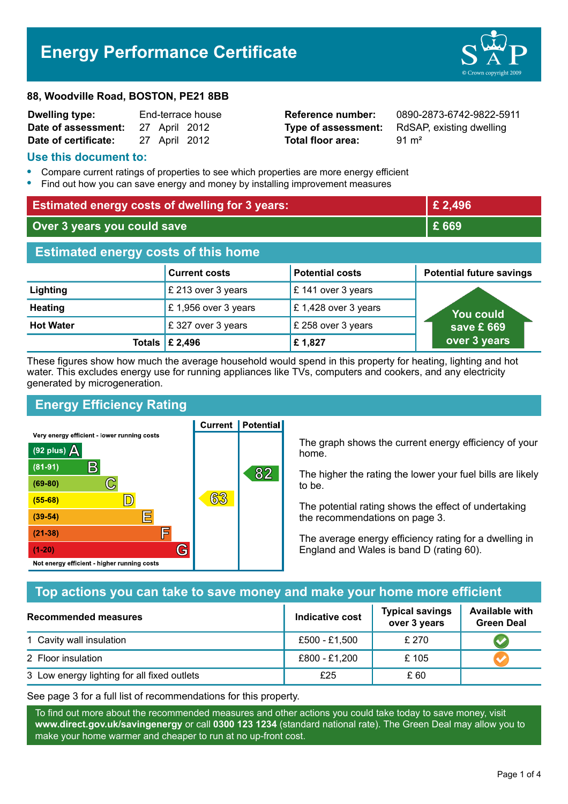# **Energy Performance Certificate**

#### **88, Woodville Road, BOSTON, PE21 8BB**

| <b>Dwelling type:</b> | End-terrace house |  |               |
|-----------------------|-------------------|--|---------------|
| Date of assessment:   |                   |  | 27 April 2012 |
| Date of certificate:  |                   |  | 27 April 2012 |

**Total floor area:** 91 m<sup>2</sup>

**Reference number:** 0890-2873-6742-9822-5911 **Type of assessment:** RdSAP, existing dwelling

#### **Use this document to:**

- **•** Compare current ratings of properties to see which properties are more energy efficient
- **•** Find out how you can save energy and money by installing improvement measures

| <b>Estimated energy costs of dwelling for 3 years:</b> |                                 | £ 2,496                |                                 |  |
|--------------------------------------------------------|---------------------------------|------------------------|---------------------------------|--|
| Over 3 years you could save                            |                                 | £ 669                  |                                 |  |
| <b>Estimated energy costs of this home</b>             |                                 |                        |                                 |  |
|                                                        | <b>Current costs</b>            | <b>Potential costs</b> | <b>Potential future savings</b> |  |
| Lighting                                               | £ 213 over 3 years              | £ 141 over 3 years     |                                 |  |
| <b>Heating</b>                                         | £1,956 over 3 years             | £1,428 over 3 years    | You could                       |  |
| <b>Hot Water</b>                                       | £327 over 3 years               | £ 258 over 3 years     | save £ 669                      |  |
|                                                        | Totals $\mathbf \epsilon$ 2,496 | £1,827                 | over 3 years                    |  |

These figures show how much the average household would spend in this property for heating, lighting and hot water. This excludes energy use for running appliances like TVs, computers and cookers, and any electricity generated by microgeneration.

**Current | Potential** 

# **Energy Efficiency Rating**

Very energy efficient - lower running costs



The graph shows the current energy efficiency of your home.

The higher the rating the lower your fuel bills are likely to be.

The potential rating shows the effect of undertaking the recommendations on page 3.

The average energy efficiency rating for a dwelling in England and Wales is band D (rating 60).

## **Top actions you can take to save money and make your home more efficient**

| Recommended measures                        | Indicative cost | <b>Typical savings</b><br>over 3 years | <b>Available with</b><br><b>Green Deal</b> |
|---------------------------------------------|-----------------|----------------------------------------|--------------------------------------------|
| 1 Cavity wall insulation                    | £500 - £1,500   | £ 270                                  |                                            |
| 2 Floor insulation                          | £800 - £1,200   | £105                                   |                                            |
| 3 Low energy lighting for all fixed outlets | £25             | £ 60                                   |                                            |

See page 3 for a full list of recommendations for this property.

To find out more about the recommended measures and other actions you could take today to save money, visit **www.direct.gov.uk/savingenergy** or call **0300 123 1234** (standard national rate). The Green Deal may allow you to make your home warmer and cheaper to run at no up-front cost.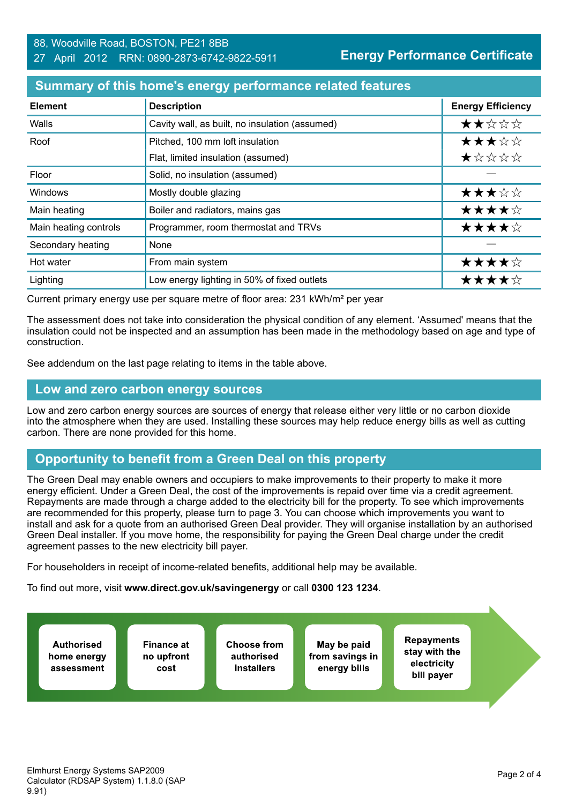## **Summary of this home's energy performance related features**

| <b>Element</b>        | <b>Description</b>                             | <b>Energy Efficiency</b> |
|-----------------------|------------------------------------------------|--------------------------|
| Walls                 | Cavity wall, as built, no insulation (assumed) | ★★☆☆☆                    |
| Roof                  | Pitched, 100 mm loft insulation                | ★★★☆☆                    |
|                       | Flat, limited insulation (assumed)             | ★☆☆☆☆                    |
| Floor                 | Solid, no insulation (assumed)                 |                          |
| Windows               | Mostly double glazing                          | ★★★☆☆                    |
| Main heating          | Boiler and radiators, mains gas                | ★★★★☆                    |
| Main heating controls | Programmer, room thermostat and TRVs           | ★★★★☆                    |
| Secondary heating     | None                                           |                          |
| Hot water             | From main system                               | ★★★★☆                    |
| Lighting              | Low energy lighting in 50% of fixed outlets    | ★★★★☆                    |

Current primary energy use per square metre of floor area: 231 kWh/m² per year

The assessment does not take into consideration the physical condition of any element. 'Assumed' means that the insulation could not be inspected and an assumption has been made in the methodology based on age and type of construction.

See addendum on the last page relating to items in the table above.

#### **Low and zero carbon energy sources**

Low and zero carbon energy sources are sources of energy that release either very little or no carbon dioxide into the atmosphere when they are used. Installing these sources may help reduce energy bills as well as cutting carbon. There are none provided for this home.

## **Opportunity to benefit from a Green Deal on this property**

The Green Deal may enable owners and occupiers to make improvements to their property to make it more energy efficient. Under a Green Deal, the cost of the improvements is repaid over time via a credit agreement. Repayments are made through a charge added to the electricity bill for the property. To see which improvements are recommended for this property, please turn to page 3. You can choose which improvements you want to install and ask for a quote from an authorised Green Deal provider. They will organise installation by an authorised Green Deal installer. If you move home, the responsibility for paying the Green Deal charge under the credit agreement passes to the new electricity bill payer.

For householders in receipt of income-related benefits, additional help may be available.

To find out more, visit **www.direct.gov.uk/savingenergy** or call **0300 123 1234**.

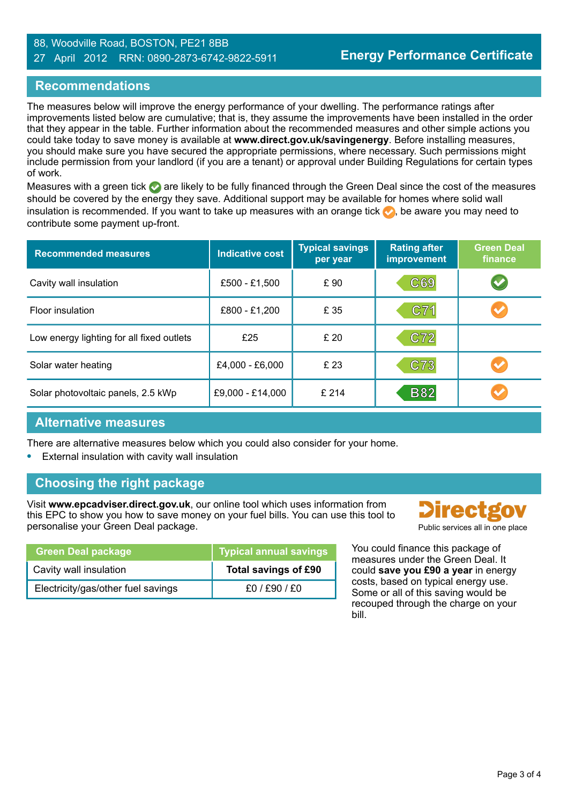#### 88, Woodville Road, BOSTON, PE21 8BB 27 April 2012 RRN: 0890-2873-6742-9822-5911

## **Recommendations**

The measures below will improve the energy performance of your dwelling. The performance ratings after improvements listed below are cumulative; that is, they assume the improvements have been installed in the order that they appear in the table. Further information about the recommended measures and other simple actions you could take today to save money is available at **www.direct.gov.uk/savingenergy**. Before installing measures, you should make sure you have secured the appropriate permissions, where necessary. Such permissions might include permission from your landlord (if you are a tenant) or approval under Building Regulations for certain types of work.

Measures with a green tick  $\bullet$  are likely to be fully financed through the Green Deal since the cost of the measures should be covered by the energy they save. Additional support may be available for homes where solid wall insulation is recommended. If you want to take up measures with an orange tick  $\bullet$ , be aware you may need to contribute some payment up-front.

| <b>Recommended measures</b>               | <b>Indicative cost</b> | <b>Typical savings</b><br>per year | <b>Rating after</b><br>improvement | <b>Green Deal</b><br>finance |
|-------------------------------------------|------------------------|------------------------------------|------------------------------------|------------------------------|
| Cavity wall insulation                    | £500 - £1,500          | £ 90                               | C69                                | $\blacktriangledown$         |
| Floor insulation                          | £800 - £1,200          | £ 35                               | C71                                |                              |
| Low energy lighting for all fixed outlets | £25                    | £ 20                               | C72                                |                              |
| Solar water heating                       | £4,000 - £6,000        | £ 23                               | C73                                |                              |
| Solar photovoltaic panels, 2.5 kWp        | £9,000 - £14,000       | £214                               | <b>B82</b>                         |                              |

#### **Alternative measures**

There are alternative measures below which you could also consider for your home.

**•** External insulation with cavity wall insulation

## **Choosing the right package**

Visit **www.epcadviser.direct.gov.uk**, our online tool which uses information from this EPC to show you how to save money on your fuel bills. You can use this tool to personalise your Green Deal package. **Public services all in one place** provided by Public services all in one place

| <b>Green Deal package</b>          | Typical annual savings |
|------------------------------------|------------------------|
| Cavity wall insulation             | Total savings of £90   |
| Electricity/gas/other fuel savings | £0/£90/£0              |

**Directgo** 

You could finance this package of measures under the Green Deal. It could **save you £90 a year** in energy costs, based on typical energy use. Some or all of this saving would be recouped through the charge on your bill.